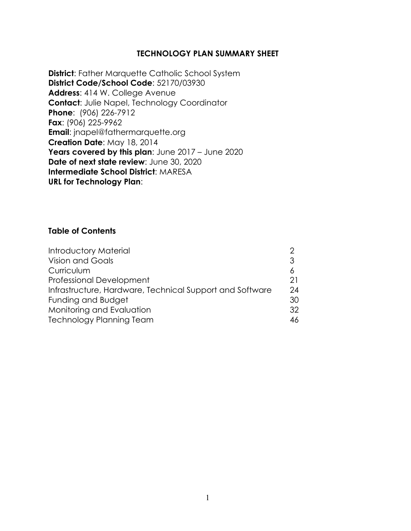#### **TECHNOLOGY PLAN SUMMARY SHEET**

**District**: Father Marquette Catholic School System **District Code/School Code**: 52170/03930 **Address**: 414 W. College Avenue **Contact**: Julie Napel, Technology Coordinator **Phone**: (906) 226-7912 **Fax**: (906) 225-9962 **Email:** jnapel@fathermarquette.org **Creation Date**: May 18, 2014 Years covered by this plan: June 2017 – June 2020 **Date of next state review**: June 30, 2020 **Intermediate School District**: MARESA **URL for Technology Plan**:

#### **Table of Contents**

| Introductory Material                                    |    |
|----------------------------------------------------------|----|
| <b>Vision and Goals</b>                                  | 3  |
| Curriculum                                               | 6  |
| <b>Professional Development</b>                          | 21 |
| Infrastructure, Hardware, Technical Support and Software | 24 |
| Funding and Budget                                       | 30 |
| Monitoring and Evaluation                                | 32 |
| <b>Technology Planning Team</b>                          | 46 |
|                                                          |    |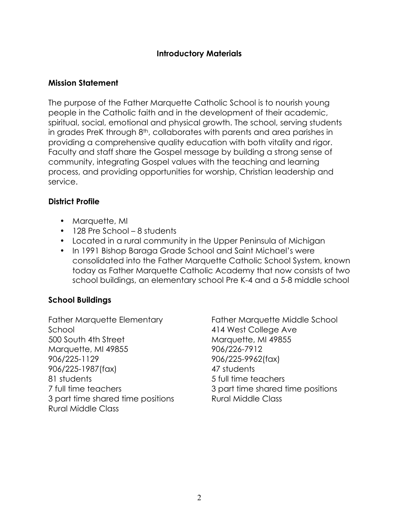#### **Introductory Materials**

#### **Mission Statement**

The purpose of the Father Marquette Catholic School is to nourish young people in the Catholic faith and in the development of their academic, spiritual, social, emotional and physical growth. The school, serving students in grades PreK through 8<sup>th</sup>, collaborates with parents and area parishes in providing a comprehensive quality education with both vitality and rigor. Faculty and staff share the Gospel message by building a strong sense of community, integrating Gospel values with the teaching and learning process, and providing opportunities for worship, Christian leadership and service.

#### **District Profile**

- Marquette, MI
- 128 Pre School 8 students
- Located in a rural community in the Upper Peninsula of Michigan
- In 1991 Bishop Baraga Grade School and Saint Michael's were consolidated into the Father Marquette Catholic School System, known today as Father Marquette Catholic Academy that now consists of two school buildings, an elementary school Pre K-4 and a 5-8 middle school

# **School Buildings**

Father Marquette Elementary School 500 South 4th Street Marquette, MI 49855 906/225-1129 906/225-1987(fax) 81 students 7 full time teachers 3 part time shared time positions Rural Middle Class

Father Marquette Middle School 414 West College Ave Marquette, MI 49855 906/226-7912 906/225-9962(fax) 47 students 5 full time teachers 3 part time shared time positions Rural Middle Class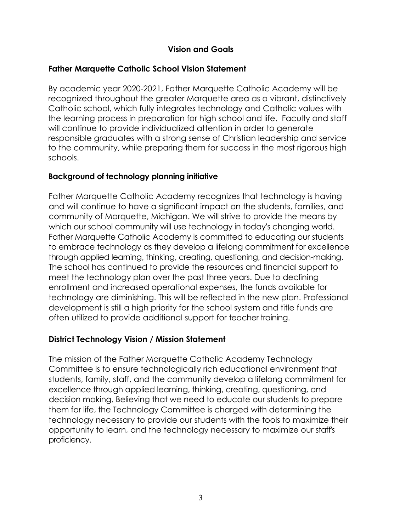# **Vision and Goals**

#### **Father Marquette Catholic School Vision Statement**

By academic year 2020-2021, Father Marquette Catholic Academy will be recognized throughout the greater Marquette area as a vibrant, distinctively Catholic school, which fully integrates technology and Catholic values with the learning process in preparation for high school and life. Faculty and staff will continue to provide individualized attention in order to generate responsible graduates with a strong sense of Christian leadership and service to the community, while preparing them for success in the most rigorous high schools.

#### **Background of technology planning initiative**

Father Marquette Catholic Academy recognizes that technology is having and will continue to have a significant impact on the students, families, and community of Marquette, Michigan. We will strive to provide the means by which our school community will use technology in today's changing world. Father Marquette Catholic Academy is committed to educating our students to embrace technology as they develop a lifelong commitment for excellence through applied learning, thinking, creating, questioning, and decision-making. The school has continued to provide the resources and financial support to meet the technology plan over the past three years. Due to declining enrollment and increased operational expenses, the funds available for technology are diminishing. This will be reflected in the new plan. Professional development is still a high priority for the school system and title funds are often utilized to provide additional support for teacher training.

# **District Technology Vision / Mission Statement**

The mission of the Father Marquette Catholic Academy Technology Committee is to ensure technologically rich educational environment that students, family, staff, and the community develop a lifelong commitment for excellence through applied learning, thinking, creating, questioning, and decision making. Believing that we need to educate our students to prepare them for life, the Technology Committee is charged with determining the technology necessary to provide our students with the tools to maximize their opportunity to learn, and the technology necessary to maximize our staff's proficiency.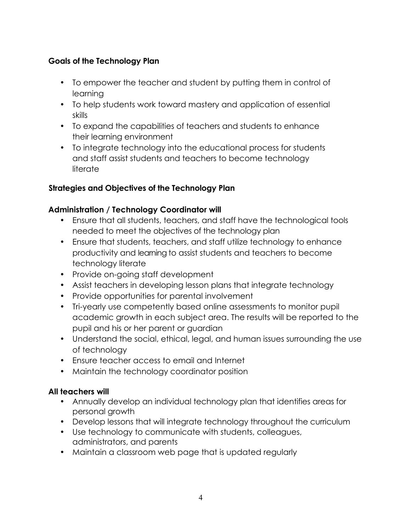# **Goals of the Technology Plan**

- To empower the teacher and student by putting them in control of learning
- To help students work toward mastery and application of essential skills
- To expand the capabilities of teachers and students to enhance their learning environment
- To integrate technology into the educational process for students and staff assist students and teachers to become technology literate

#### **Strategies and Objectives of the Technology Plan**

#### **Administration / Technology Coordinator will**

- Ensure that all students, teachers, and staff have the technological tools needed to meet the objectives of the technology plan
- Ensure that students, teachers, and staff utilize technology to enhance productivity and learning to assist students and teachers to become technology literate
- Provide on-going staff development
- Assist teachers in developing lesson plans that integrate technology
- Provide opportunities for parental involvement
- Tri-yearly use competently based online assessments to monitor pupil academic growth in each subject area. The results will be reported to the pupil and his or her parent or guardian
- Understand the social, ethical, legal, and human issues surrounding the use of technology
- Ensure teacher access to email and Internet
- Maintain the technology coordinator position

# **All teachers will**

- Annually develop an individual technology plan that identifies areas for personal growth
- Develop lessons that will integrate technology throughout the curriculum
- Use technology to communicate with students, colleagues, administrators, and parents
- Maintain a classroom web page that is updated regularly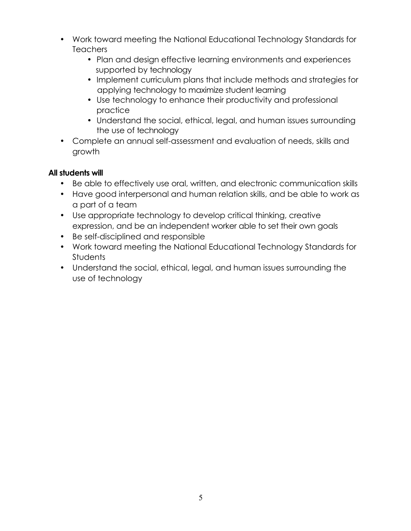- Work toward meeting the National Educational Technology Standards for Teachers
	- Plan and design effective learning environments and experiences supported by technology
	- Implement curriculum plans that include methods and strategies for applying technology to maximize student learning
	- Use technology to enhance their productivity and professional practice
	- Understand the social, ethical, legal, and human issues surrounding the use of technology
- Complete an annual self-assessment and evaluation of needs, skills and growth

# **All students will**

- Be able to effectively use oral, written, and electronic communication skills
- Have good interpersonal and human relation skills, and be able to work as a part of a team
- Use appropriate technology to develop critical thinking, creative expression, and be an independent worker able to set their own goals
- Be self-disciplined and responsible
- Work toward meeting the National Educational Technology Standards for **Students**
- Understand the social, ethical, legal, and human issues surrounding the use of technology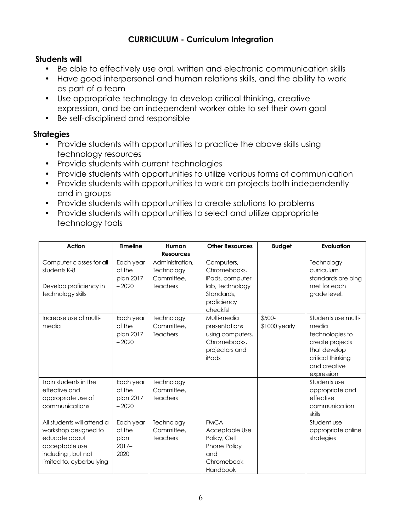# **CURRICULUM - Curriculum Integration**

#### **Students will**

- Be able to effectively use oral, written and electronic communication skills
- Have good interpersonal and human relations skills, and the ability to work as part of a team
- Use appropriate technology to develop critical thinking, creative expression, and be an independent worker able to set their own goal
- Be self-disciplined and responsible

- Provide students with opportunities to practice the above skills using technology resources
- Provide students with current technologies
- Provide students with opportunities to utilize various forms of communication
- Provide students with opportunities to work on projects both independently and in groups
- Provide students with opportunities to create solutions to problems
- Provide students with opportunities to select and utilize appropriate technology tools

| <b>Action</b>                                                                                                                            | <b>Timeline</b>                                 | Human<br><b>Resources</b>                               | <b>Other Resources</b>                                                                                     | <b>Budget</b>           | <b>Evaluation</b>                                                                                                                     |
|------------------------------------------------------------------------------------------------------------------------------------------|-------------------------------------------------|---------------------------------------------------------|------------------------------------------------------------------------------------------------------------|-------------------------|---------------------------------------------------------------------------------------------------------------------------------------|
| Computer classes for all<br>students K-8<br>Develop proficiency in<br>technology skills                                                  | Each year<br>of the<br>plan 2017<br>$-2020$     | Administration,<br>Technology<br>Committee.<br>Teachers | Computers,<br>Chromebooks,<br>iPads, computer<br>lab, Technology<br>Standards,<br>proficiency<br>checklist |                         | Technology<br>curriculum<br>standards are bing<br>met for each<br>grade level.                                                        |
| Increase use of multi-<br>media                                                                                                          | Each year<br>of the<br>plan 2017<br>$-2020$     | Technology<br>Committee,<br><b>Teachers</b>             | Multi-media<br>presentations<br>using computers,<br>Chromebooks,<br>projectors and<br>iPads                | \$500-<br>\$1000 yearly | Students use multi-<br>media<br>technologies to<br>create projects<br>that develop<br>critical thinking<br>and creative<br>expression |
| Train students in the<br>effective and<br>appropriate use of<br>communications                                                           | Each year<br>of the<br>plan 2017<br>$-2020$     | Technology<br>Committee,<br><b>Teachers</b>             |                                                                                                            |                         | Students use<br>appropriate and<br>effective<br>communication<br>skills                                                               |
| All students will attend a<br>workshop designed to<br>educate about<br>acceptable use<br>including, but not<br>limited to, cyberbullying | Each year<br>of the<br>plan<br>$2017 -$<br>2020 | Technology<br>Committee,<br><b>Teachers</b>             | <b>FMCA</b><br>Acceptable Use<br>Policy, Cell<br>Phone Policy<br>and<br>Chromebook<br>Handbook             |                         | Student use<br>appropriate online<br>strategies                                                                                       |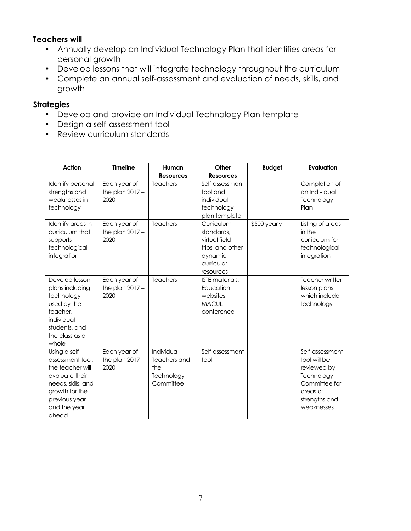#### **Teachers will**

- Annually develop an Individual Technology Plan that identifies areas for personal growth
- Develop lessons that will integrate technology throughout the curriculum
- Complete an annual self-assessment and evaluation of needs, skills, and growth

- Develop and provide an Individual Technology Plan template
- Design a self-assessment tool
- Review curriculum standards

| <b>Action</b>                                                                                                                                             | <b>Timeline</b>                           | Human                                                        | Other                                                                                               | <b>Budget</b> | Evaluation                                                                                                               |
|-----------------------------------------------------------------------------------------------------------------------------------------------------------|-------------------------------------------|--------------------------------------------------------------|-----------------------------------------------------------------------------------------------------|---------------|--------------------------------------------------------------------------------------------------------------------------|
|                                                                                                                                                           |                                           | <b>Resources</b>                                             | <b>Resources</b>                                                                                    |               |                                                                                                                          |
| Identify personal<br>strengths and<br>weaknesses in<br>technology                                                                                         | Each year of<br>the plan $2017 -$<br>2020 | Teachers                                                     | Self-assessment<br>tool and<br>individual<br>technology<br>plan template                            |               | Completion of<br>an Individual<br>Technology<br>Plan                                                                     |
| Identify areas in<br>curriculum that<br>supports<br>technological<br>integration                                                                          | Each year of<br>the plan $2017 -$<br>2020 | <b>Teachers</b>                                              | Curriculum<br>standards,<br>virtual field<br>trips, and other<br>dynamic<br>curricular<br>resources | \$500 yearly  | Listing of areas<br>in the<br>curriculum for<br>technological<br>integration                                             |
| Develop lesson<br>plans including<br>technology<br>used by the<br>teacher.<br>individual<br>students, and<br>the class as a<br>whole                      | Each year of<br>the plan $2017 -$<br>2020 | Teachers                                                     | <b>ISTE</b> materials.<br>Education<br>websites,<br><b>MACUL</b><br>conference                      |               | Teacher written<br>lesson plans<br>which include<br>technology                                                           |
| Using a self-<br>assessment tool,<br>the teacher will<br>evaluate their<br>needs, skills, and<br>growth for the<br>previous year<br>and the year<br>ahead | Each year of<br>the plan $2017 -$<br>2020 | Individual<br>Teachers and<br>the<br>Technology<br>Committee | Self-assessment<br>tool                                                                             |               | Self-assessment<br>tool will be<br>reviewed by<br>Technology<br>Committee for<br>areas of<br>strengths and<br>weaknesses |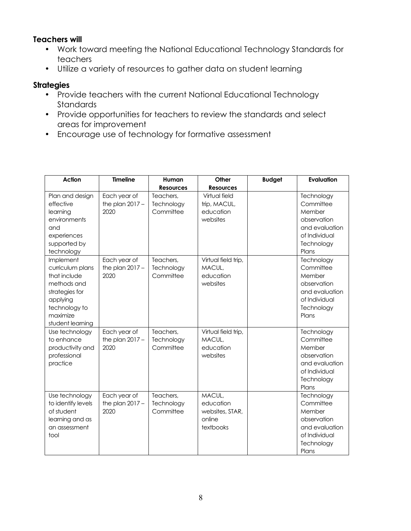#### **Teachers will**

- Work toward meeting the National Educational Technology Standards for teachers
- Utilize a variety of resources to gather data on student learning

- Provide teachers with the current National Educational Technology **Standards**
- Provide opportunities for teachers to review the standards and select areas for improvement
- Encourage use of technology for formative assessment

| <b>Action</b>                                                                                                                               | <b>Timeline</b>                           | Human                                | Other                                                         | <b>Budget</b> | Evaluation                                                                                                 |
|---------------------------------------------------------------------------------------------------------------------------------------------|-------------------------------------------|--------------------------------------|---------------------------------------------------------------|---------------|------------------------------------------------------------------------------------------------------------|
|                                                                                                                                             |                                           | <b>Resources</b>                     | <b>Resources</b>                                              |               |                                                                                                            |
| Plan and design<br>effective<br>learning<br>environments<br>and<br>experiences<br>supported by<br>technology                                | Each year of<br>the plan $2017 -$<br>2020 | Teachers,<br>Technology<br>Committee | Virtual field<br>trip, MACUL,<br>education<br>websites        |               | Technology<br>Committee<br>Member<br>observation<br>and evaluation<br>of Individual<br>Technology<br>Plans |
| Implement<br>curriculum plans<br>that include<br>methods and<br>strategies for<br>applying<br>technology to<br>maximize<br>student learning | Each year of<br>the plan $2017 -$<br>2020 | Teachers,<br>Technology<br>Committee | Virtual field trip,<br>MACUL,<br>education<br>websites        |               | Technology<br>Committee<br>Member<br>observation<br>and evaluation<br>of Individual<br>Technology<br>Plans |
| Use technology<br>to enhance<br>productivity and<br>professional<br>practice                                                                | Each year of<br>the plan $2017 -$<br>2020 | Teachers,<br>Technology<br>Committee | Virtual field trip,<br>MACUL,<br>education<br>websites        |               | Technology<br>Committee<br>Member<br>observation<br>and evaluation<br>of Individual<br>Technology<br>Plans |
| Use technology<br>to identify levels<br>of student<br>learning and as<br>an assessment<br>tool                                              | Each year of<br>the plan $2017 -$<br>2020 | Teachers,<br>Technology<br>Committee | MACUL,<br>education<br>websites, STAR,<br>online<br>textbooks |               | Technology<br>Committee<br>Member<br>observation<br>and evaluation<br>of Individual<br>Technology<br>Plans |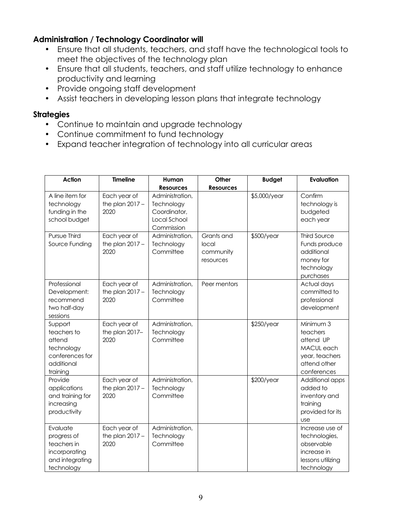#### **Administration / Technology Coordinator will**

- Ensure that all students, teachers, and staff have the technological tools to meet the objectives of the technology plan
- Ensure that all students, teachers, and staff utilize technology to enhance productivity and learning
- Provide ongoing staff development
- Assist teachers in developing lesson plans that integrate technology

- Continue to maintain and upgrade technology
- Continue commitment to fund technology
- Expand teacher integration of technology into all curricular areas

| Action                                                                                      | <b>Timeline</b>                           | Human                                                                       | Other                                         | <b>Budget</b> | Evaluation                                                                                        |
|---------------------------------------------------------------------------------------------|-------------------------------------------|-----------------------------------------------------------------------------|-----------------------------------------------|---------------|---------------------------------------------------------------------------------------------------|
|                                                                                             |                                           | <b>Resources</b>                                                            | <b>Resources</b>                              |               |                                                                                                   |
| A line item for<br>technology<br>funding in the<br>school budget                            | Each year of<br>the plan $2017 -$<br>2020 | Administration,<br>Technology<br>Coordinator,<br>Local School<br>Commission |                                               | \$5,000/year  | Confirm<br>technology is<br>budgeted<br>each year                                                 |
| Pursue Third<br>Source Funding                                                              | Each year of<br>the plan $2017 -$<br>2020 | Administration.<br>Technology<br>Committee                                  | Grants and<br>local<br>community<br>resources | \$500/year    | <b>Third Source</b><br>Funds produce<br>additional<br>money for<br>technology<br>purchases        |
| Professional<br>Development:<br>recommend<br>two half-day<br>sessions                       | Each year of<br>the plan $2017 -$<br>2020 | Administration,<br>Technology<br>Committee                                  | Peer mentors                                  |               | Actual days<br>committed to<br>professional<br>development                                        |
| Support<br>teachers to<br>attend<br>technology<br>conferences for<br>additional<br>training | Each year of<br>the plan 2017-<br>2020    | Administration,<br>Technology<br>Committee                                  |                                               | \$250/year    | Minimum 3<br>teachers<br>attend UP<br>MACUL each<br>year, teachers<br>attend other<br>conferences |
| Provide<br>applications<br>and training for<br>increasing<br>productivity                   | Each year of<br>the plan $2017 -$<br>2020 | Administration,<br>Technology<br>Committee                                  |                                               | \$200/year    | Additional apps<br>added to<br>inventory and<br>training<br>provided for its<br><b>USe</b>        |
| Evaluate<br>progress of<br>teachers in<br>incorporating<br>and integrating<br>technology    | Each year of<br>the plan $2017 -$<br>2020 | Administration,<br>Technology<br>Committee                                  |                                               |               | Increase use of<br>technologies,<br>observable<br>increase in<br>lessons utilizing<br>technology  |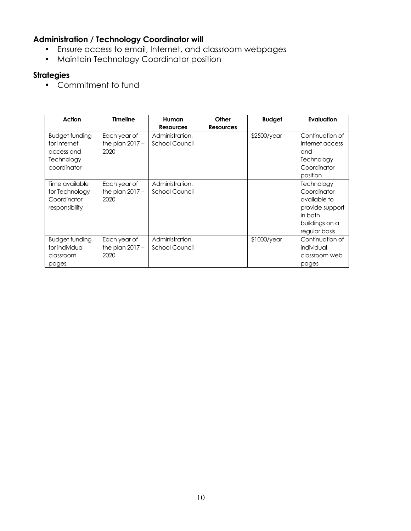# **Administration / Technology Coordinator will**

- Ensure access to email, Internet, and classroom webpages
- Maintain Technology Coordinator position

# **Strategies**

• Commitment to fund

| Action                                                                           | <b>Timeline</b>                           | Human                             | Other            | <b>Budget</b> | Evaluation                                                                                                 |
|----------------------------------------------------------------------------------|-------------------------------------------|-----------------------------------|------------------|---------------|------------------------------------------------------------------------------------------------------------|
|                                                                                  |                                           | <b>Resources</b>                  | <b>Resources</b> |               |                                                                                                            |
| <b>Budget funding</b><br>for Internet<br>access and<br>Technology<br>coordinator | Each year of<br>the plan $2017 -$<br>2020 | Administration,<br>School Council |                  | \$2500/year   | Continuation of<br>Internet access<br>and<br>Technology<br>Coordinator<br>position                         |
| Time available<br>for Technology<br>Coordinator<br>responsibility                | Each year of<br>the plan $2017 -$<br>2020 | Administration,<br>School Council |                  |               | Technology<br>Coordinator<br>available to<br>provide support<br>in both<br>buildings on a<br>regular basis |
| <b>Budget funding</b><br>for individual<br>classroom<br>pages                    | Each year of<br>the plan $2017 -$<br>2020 | Administration,<br>School Council |                  | $$1000$ /year | Continuation of<br>individual<br>classroom web<br>pages                                                    |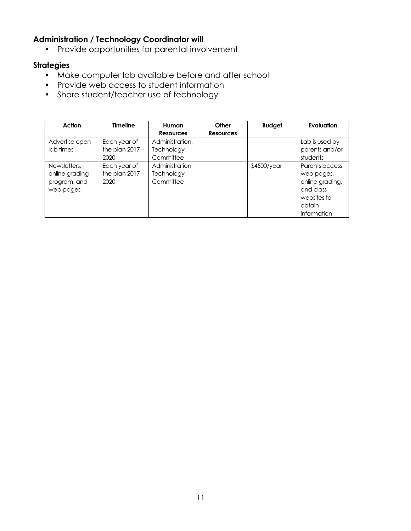# **Administration / Technology Coordinator will**

• Provide opportunities for parental involvement

- Make computer lab available before and after school
- Provide web access to student information
- Share student/teacher use of technology

| Action                                                      | <b>Timeline</b>                           | Human<br><b>Resources</b>                  | Other<br>Resources | <b>Budget</b> | Evaluation                                                                                           |
|-------------------------------------------------------------|-------------------------------------------|--------------------------------------------|--------------------|---------------|------------------------------------------------------------------------------------------------------|
| Advertise open<br>lab times                                 | Each year of<br>the plan $2017 -$<br>2020 | Administration,<br>Technology<br>Committee |                    |               | Lab is used by<br>parents and/or<br>students                                                         |
| Newsletters,<br>online grading<br>program, and<br>web pages | Each year of<br>the plan $2017 -$<br>2020 | Administration<br>Technology<br>Committee  |                    | \$4500/year   | Parents access<br>web pages,<br>online grading,<br>and class<br>websites to<br>obtain<br>information |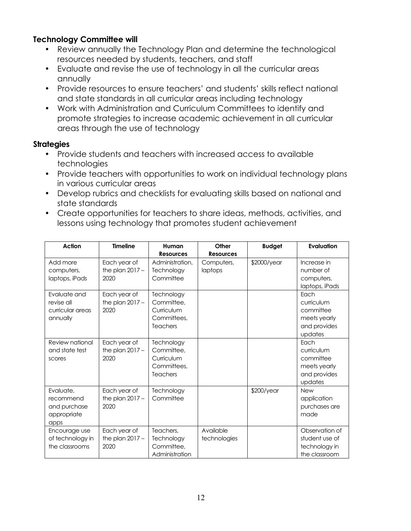#### **Technology Committee will**

- Review annually the Technology Plan and determine the technological resources needed by students, teachers, and staff
- Evaluate and revise the use of technology in all the curricular areas annually
- Provide resources to ensure teachers' and students' skills reflect national and state standards in all curricular areas including technology
- Work with Administration and Curriculum Committees to identify and promote strategies to increase academic achievement in all curricular areas through the use of technology

- Provide students and teachers with increased access to available technologies
- Provide teachers with opportunities to work on individual technology plans in various curricular areas
- Develop rubrics and checklists for evaluating skills based on national and state standards
- Create opportunities for teachers to share ideas, methods, activities, and lessons using technology that promotes student achievement

| <b>Action</b>                                                 | <b>Timeline</b>                           | Human<br><b>Resources</b>                                                | Other<br><b>Resources</b> | <b>Budget</b> | Evaluation                                                                 |
|---------------------------------------------------------------|-------------------------------------------|--------------------------------------------------------------------------|---------------------------|---------------|----------------------------------------------------------------------------|
| Add more<br>computers,<br>laptops, iPads                      | Each year of<br>the plan $2017 -$<br>2020 | Administration,<br>Technology<br>Committee                               | Computers,<br>laptops     | \$2000/year   | Increase in<br>number of<br>computers,<br>laptops, iPads                   |
| Evaluate and<br>revise all<br>curricular areas<br>annually    | Each year of<br>the plan $2017 -$<br>2020 | Technology<br>Committee,<br>Curriculum<br>Committees,<br><b>Teachers</b> |                           |               | Each<br>curriculum<br>committee<br>meets yearly<br>and provides<br>updates |
| Review national<br>and state test<br>scores                   | Each year of<br>the plan $2017 -$<br>2020 | Technology<br>Committee,<br>Curriculum<br>Committees.<br><b>Teachers</b> |                           |               | Each<br>curriculum<br>committee<br>meets yearly<br>and provides<br>updates |
| Evaluate,<br>recommend<br>and purchase<br>appropriate<br>apps | Each year of<br>the plan $2017 -$<br>2020 | Technology<br>Committee                                                  |                           | \$200/year    | <b>New</b><br>application<br>purchases are<br>made                         |
| Encourage use<br>of technology in<br>the classrooms           | Each year of<br>the plan $2017 -$<br>2020 | Teachers,<br>Technology<br>Committee,<br>Administration                  | Available<br>technologies |               | Observation of<br>student use of<br>technology in<br>the classroom         |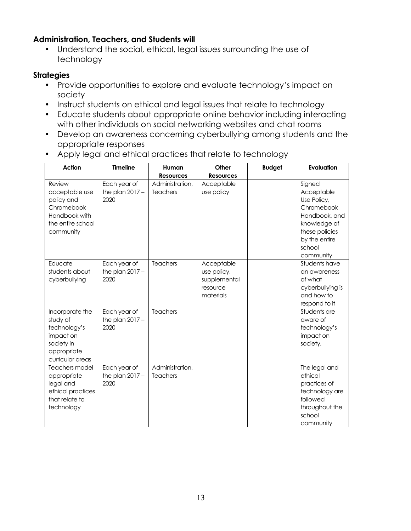#### **Administration, Teachers, and Students will**

• Understand the social, ethical, legal issues surrounding the use of technology

- Provide opportunities to explore and evaluate technology's impact on society
- Instruct students on ethical and legal issues that relate to technology
- Educate students about appropriate online behavior including interacting with other individuals on social networking websites and chat rooms
- Develop an awareness concerning cyberbullying among students and the appropriate responses
- Apply legal and ethical practices that relate to technology

| Action                                                                                                    | <b>Timeline</b>                           | Human                              | Other                                                              | <b>Budget</b> | Evaluation                                                                                                                                   |
|-----------------------------------------------------------------------------------------------------------|-------------------------------------------|------------------------------------|--------------------------------------------------------------------|---------------|----------------------------------------------------------------------------------------------------------------------------------------------|
|                                                                                                           |                                           | <b>Resources</b>                   | <b>Resources</b>                                                   |               |                                                                                                                                              |
| Review<br>acceptable use<br>policy and<br>Chromebook<br>Handbook with<br>the entire school<br>community   | Each year of<br>the plan $2017 -$<br>2020 | Administration,<br><b>Teachers</b> | Acceptable<br>use policy                                           |               | Signed<br>Acceptable<br>Use Policy,<br>Chromebook<br>Handbook, and<br>knowledge of<br>these policies<br>by the entire<br>school<br>community |
| Educate<br>students about<br>cyberbullying                                                                | Each year of<br>the plan $2017 -$<br>2020 | Teachers                           | Acceptable<br>use policy,<br>supplemental<br>resource<br>materials |               | Students have<br>an awareness<br>of what<br>cyberbullying is<br>and how to<br>respond to it                                                  |
| Incorporate the<br>study of<br>technology's<br>impact on<br>society in<br>appropriate<br>curricular areas | Each year of<br>the plan $2017 -$<br>2020 | <b>Teachers</b>                    |                                                                    |               | Students are<br>aware of<br>technology's<br>impact on<br>society,                                                                            |
| <b>Teachers model</b><br>appropriate<br>legal and<br>ethical practices<br>that relate to<br>technology    | Each year of<br>the plan $2017 -$<br>2020 | Administration,<br><b>Teachers</b> |                                                                    |               | The legal and<br>ethical<br>practices of<br>technology are<br>followed<br>throughout the<br>school<br>community                              |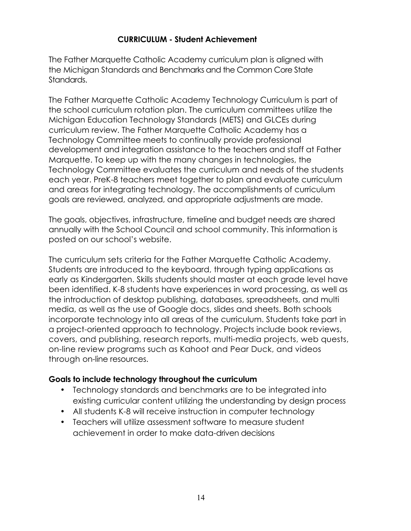#### **CURRICULUM - Student Achievement**

The Father Marquette Catholic Academy curriculum plan is aligned with the Michigan Standards and Benchmarks and the Common Core State Standards.

The Father Marquette Catholic Academy Technology Curriculum is part of the school curriculum rotation plan. The curriculum committees utilize the Michigan Education Technology Standards (METS) and GLCEs during curriculum review. The Father Marquette Catholic Academy has a Technology Committee meets to continually provide professional development and integration assistance to the teachers and staff at Father Marquette. To keep up with the many changes in technologies, the Technology Committee evaluates the curriculum and needs of the students each year. PreK-8 teachers meet together to plan and evaluate curriculum and areas for integrating technology. The accomplishments of curriculum goals are reviewed, analyzed, and appropriate adjustments are made.

The goals, objectives, infrastructure, timeline and budget needs are shared annually with the School Council and school community. This information is posted on our school's website.

The curriculum sets criteria for the Father Marquette Catholic Academy. Students are introduced to the keyboard, through typing applications as early as Kindergarten. Skills students should master at each grade level have been identified. K-8 students have experiences in word processing, as well as the introduction of desktop publishing, databases, spreadsheets, and multi media, as well as the use of Google docs, slides and sheets. Both schools incorporate technology into all areas of the curriculum. Students take part in a project-oriented approach to technology. Projects include book reviews, covers, and publishing, research reports, multi-media projects, web quests, on-line review programs such as Kahoot and Pear Duck, and videos through on-line resources.

#### **Goals to include technology throughout the curriculum**

- Technology standards and benchmarks are to be integrated into existing curricular content utilizing the understanding by design process
- All students K-8 will receive instruction in computer technology
- Teachers will utilize assessment software to measure student achievement in order to make data-driven decisions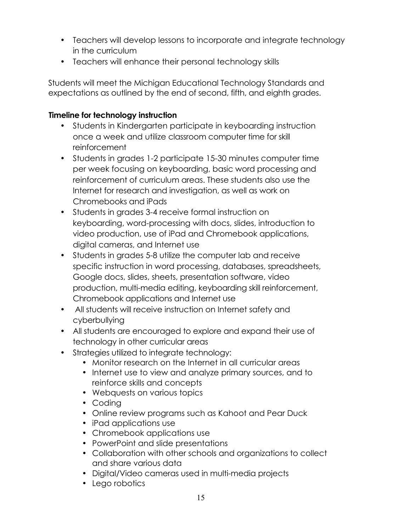- Teachers will develop lessons to incorporate and integrate technology in the curriculum
- Teachers will enhance their personal technology skills

Students will meet the Michigan Educational Technology Standards and expectations as outlined by the end of second, fifth, and eighth grades.

#### **Timeline for technology instruction**

- Students in Kindergarten participate in keyboarding instruction once a week and utilize classroom computer time for skill reinforcement
- Students in grades 1-2 participate 15-30 minutes computer time per week focusing on keyboarding, basic word processing and reinforcement of curriculum areas. These students also use the Internet for research and investigation, as well as work on Chromebooks and iPads
- Students in grades 3-4 receive formal instruction on keyboarding, word-processing with docs, slides, introduction to video production, use of iPad and Chromebook applications, digital cameras, and Internet use
- Students in grades 5-8 utilize the computer lab and receive specific instruction in word processing, databases, spreadsheets, Google docs, slides, sheets, presentation software, video production, multi-media editing, keyboarding skill reinforcement, Chromebook applications and Internet use
- All students will receive instruction on Internet safety and cyberbullying
- All students are encouraged to explore and expand their use of technology in other curricular areas
- Strategies utilized to integrate technology:
	- Monitor research on the Internet in all curricular areas
	- Internet use to view and analyze primary sources, and to reinforce skills and concepts
	- Webquests on various topics
	- Coding
	- Online review programs such as Kahoot and Pear Duck
	- iPad applications use
	- Chromebook applications use
	- PowerPoint and slide presentations
	- Collaboration with other schools and organizations to collect and share various data
	- Digital/Video cameras used in multi-media projects
	- Lego robotics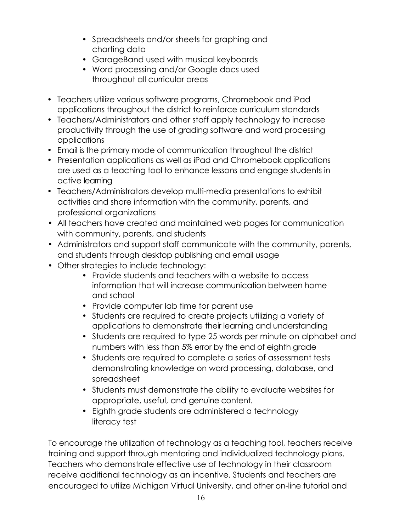- Spreadsheets and/or sheets for graphing and charting data
- GarageBand used with musical keyboards
- Word processing and/or Google docs used throughout all curricular areas
- Teachers utilize various software programs, Chromebook and iPad applications throughout the district to reinforce curriculum standards
- Teachers/Administrators and other staff apply technology to increase productivity through the use of grading software and word processing applications
- Email is the primary mode of communication throughout the district
- Presentation applications as well as iPad and Chromebook applications are used as a teaching tool to enhance lessons and engage students in active learning
- Teachers/Administrators develop multi-media presentations to exhibit activities and share information with the community, parents, and professional organizations
- All teachers have created and maintained web pages for communication with community, parents, and students
- Administrators and support staff communicate with the community, parents, and students through desktop publishing and email usage
- Other strategies to include technology:
	- Provide students and teachers with a website to access information that will increase communication between home and school
	- Provide computer lab time for parent use
	- Students are required to create projects utilizing a variety of applications to demonstrate their learning and understanding
	- Students are required to type 25 words per minute on alphabet and numbers with less than 5% error by the end of eighth grade
	- Students are required to complete a series of assessment tests demonstrating knowledge on word processing, database, and spreadsheet
	- Students must demonstrate the ability to evaluate websites for appropriate, useful, and genuine content.
	- Eighth grade students are administered a technology literacy test

To encourage the utilization of technology as a teaching tool, teachers receive training and support through mentoring and individualized technology plans. Teachers who demonstrate effective use of technology in their classroom receive additional technology as an incentive. Students and teachers are encouraged to utilize Michigan Virtual University, and other on-line tutorial and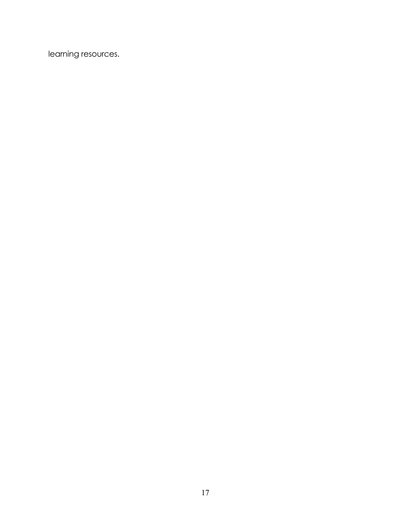learning resources.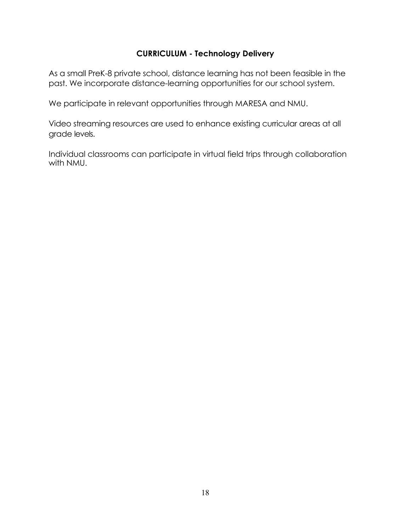#### **CURRICULUM - Technology Delivery**

As a small PreK-8 private school, distance learning has not been feasible in the past. We incorporate distance-learning opportunities for our school system.

We participate in relevant opportunities through MARESA and NMU.

Video streaming resources are used to enhance existing curricular areas at all grade levels.

Individual classrooms can participate in virtual field trips through collaboration with NMU.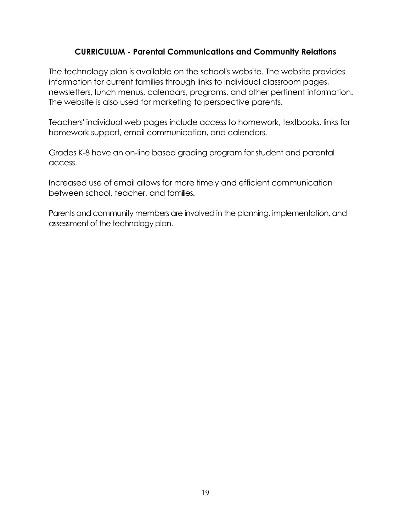#### **CURRICULUM - Parental Communications and Community Relations**

The technology plan is available on the school's website. The website provides information for current families through links to individual classroom pages, newsletters, lunch menus, calendars, programs, and other pertinent information. The website is also used for marketing to perspective parents.

Teachers' individual web pages include access to homework, textbooks, links for homework support, email communication, and calendars.

Grades K-8 have an on-line based grading program for student and parental access.

Increased use of email allows for more timely and efficient communication between school, teacher, and families.

Parents and community members are involved in the planning, implementation, and assessment of the technology plan.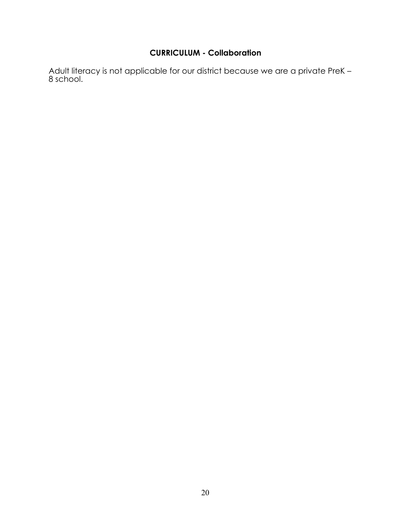#### **CURRICULUM - Collaboration**

Adult literacy is not applicable for our district because we are a private PreK -<br>8 school.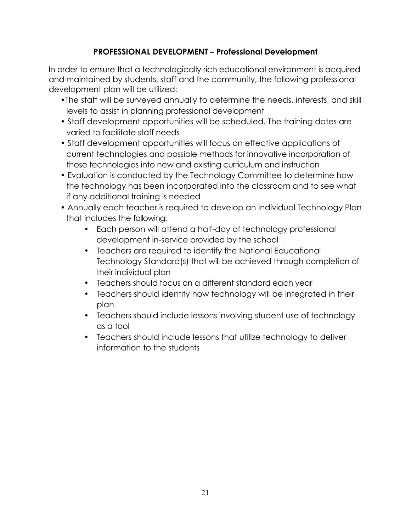# **PROFESSIONAL DEVELOPMENT – Professional Development**

In order to ensure that a technologically rich educational environment is acquired and maintained by students, staff and the community, the following professional development plan will be utilized:

- •The staff will be surveyed annually to determine the needs, interests, and skill levels to assist in planning professional development
- Staff development opportunities will be scheduled. The training dates are varied to facilitate staff needs
- Staff development opportunities will focus on effective applications of current technologies and possible methods for innovative incorporation of those technologies into new and existing curriculum and instruction
- Evaluation is conducted by the Technology Committee to determine how the technology has been incorporated into the classroom and to see what if any additional training is needed
- Annually each teacher is required to develop an Individual Technology Plan that includes the following:
	- Each person will attend a half-day of technology professional development in-service provided by the school
	- Teachers are required to identify the National Educational Technology Standard(s) that will be achieved through completion of their individual plan
	- Teachers should focus on a different standard each year
	- Teachers should identify how technology will be integrated in their plan
	- Teachers should include lessons involving student use of technology as a tool
	- Teachers should include lessons that utilize technology to deliver information to the students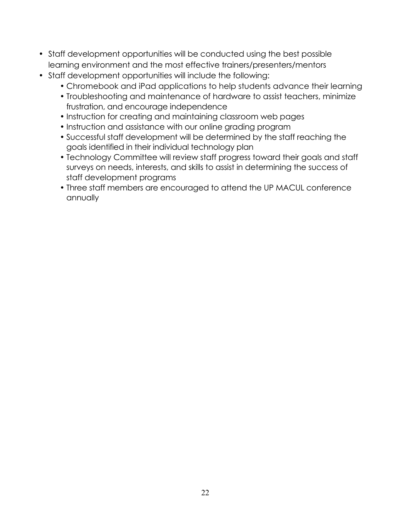- Staff development opportunities will be conducted using the best possible learning environment and the most effective trainers/presenters/mentors
- Staff development opportunities will include the following:
	- Chromebook and iPad applications to help students advance their learning
	- Troubleshooting and maintenance of hardware to assist teachers, minimize frustration, and encourage independence
	- Instruction for creating and maintaining classroom web pages
	- Instruction and assistance with our online grading program
	- Successful staff development will be determined by the staff reaching the goals identified in their individual technology plan
	- Technology Committee will review staff progress toward their goals and staff surveys on needs, interests, and skills to assist in determining the success of staff development programs
	- Three staff members are encouraged to attend the UP MACUL conference annually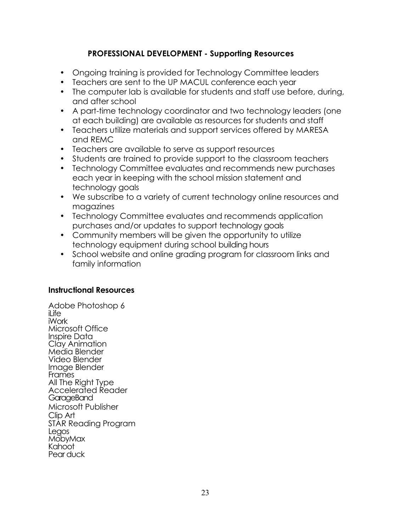#### **PROFESSIONAL DEVELOPMENT - Supporting Resources**

- Ongoing training is provided for Technology Committee leaders
- Teachers are sent to the UP MACUL conference each year
- The computer lab is available for students and staff use before, during, and after school
- A part-time technology coordinator and two technology leaders (one at each building) are available as resources for students and staff
- Teachers utilize materials and support services offered by MARESA and REMC
- Teachers are available to serve as support resources
- Students are trained to provide support to the classroom teachers
- Technology Committee evaluates and recommends new purchases each year in keeping with the school mission statement and technology goals
- We subscribe to a variety of current technology online resources and magazines
- Technology Committee evaluates and recommends application purchases and/or updates to support technology goals
- Community members will be given the opportunity to utilize technology equipment during school building hours
- School website and online grading program for classroom links and family information

#### **Instructional Resources**

Adobe Photoshop 6  $i$ l ife iWork Microsoft Office Inspire Data Clay Animation Media Blender Video Blender Image Blender Frames All The Right Type Accelerated Reader GarageBand Microsoft Publisher Clip Art STAR Reading Program Legos **MobyMax** Kahoot Pear duck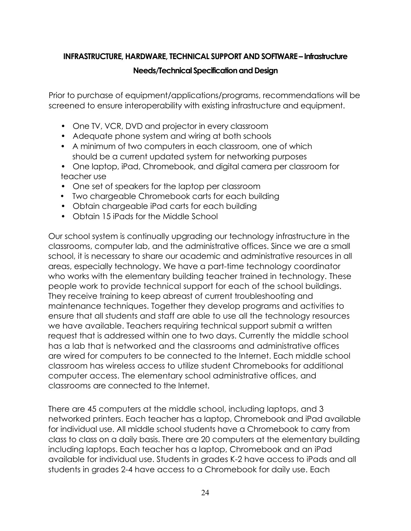#### **INFRASTRUCTURE, HARDWARE, TECHNICAL SUPPORT AND SOFTWARE – Infrastructure**

#### **Needs/Technical Specification and Design**

Prior to purchase of equipment/applications/programs, recommendations will be screened to ensure interoperability with existing infrastructure and equipment.

- One TV, VCR, DVD and projector in every classroom
- Adequate phone system and wiring at both schools
- A minimum of two computers in each classroom, one of which should be a current updated system for networking purposes
- One laptop, iPad, Chromebook, and digital camera per classroom for teacher use
- One set of speakers for the laptop per classroom
- Two chargeable Chromebook carts for each building
- Obtain chargeable iPad carts for each building
- Obtain 15 iPads for the Middle School

Our school system is continually upgrading our technology infrastructure in the classrooms, computer lab, and the administrative offices. Since we are a small school, it is necessary to share our academic and administrative resources in all areas, especially technology. We have a part-time technology coordinator who works with the elementary building teacher trained in technology. These people work to provide technical support for each of the school buildings. They receive training to keep abreast of current troubleshooting and maintenance techniques. Together they develop programs and activities to ensure that all students and staff are able to use all the technology resources we have available. Teachers requiring technical support submit a written request that is addressed within one to two days. Currently the middle school has a lab that is networked and the classrooms and administrative offices are wired for computers to be connected to the Internet. Each middle school classroom has wireless access to utilize student Chromebooks for additional computer access. The elementary school administrative offices, and classrooms are connected to the Internet.

There are 45 computers at the middle school, including laptops, and 3 networked printers. Each teacher has a laptop, Chromebook and iPad available for individual use. All middle school students have a Chromebook to carry from class to class on a daily basis. There are 20 computers at the elementary building including laptops. Each teacher has a laptop, Chromebook and an iPad available for individual use. Students in grades K-2 have access to iPads and all students in grades 2-4 have access to a Chromebook for daily use. Each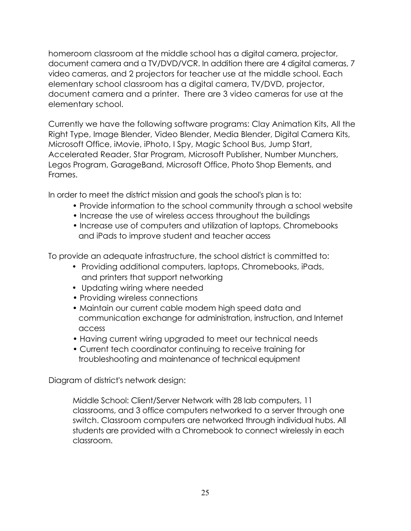homeroom classroom at the middle school has a digital camera, projector, document camera and a TV/DVD/VCR. In addition there are 4 digital cameras, 7 video cameras, and 2 projectors for teacher use at the middle school. Each elementary school classroom has a digital camera, TV/DVD, projector, document camera and a printer. There are 3 video cameras for use at the elementary school.

Currently we have the following software programs: Clay Animation Kits, All the Right Type, Image Blender, Video Blender, Media Blender, Digital Camera Kits, Microsoft Office, iMovie, iPhoto, I Spy, Magic School Bus, Jump Start, Accelerated Reader, Star Program, Microsoft Publisher, Number Munchers, Legos Program, GarageBand, Microsoft Office, Photo Shop Elements, and Frames.

In order to meet the district mission and goals the school's plan is to:

- Provide information to the school community through a school website
- Increase the use of wireless access throughout the buildings
- Increase use of computers and utilization of laptops, Chromebooks and iPads to improve student and teacher access

To provide an adequate infrastructure, the school district is committed to:

- Providing additional computers, laptops, Chromebooks, iPads, and printers that support networking
- Updating wiring where needed
- Providing wireless connections
- Maintain our current cable modem high speed data and communication exchange for administration, instruction, and Internet access
- Having current wiring upgraded to meet our technical needs
- Current tech coordinator continuing to receive training for troubleshooting and maintenance of technical equipment

Diagram of district's network design:

Middle School: Client/Server Network with 28 lab computers, 11 classrooms, and 3 office computers networked to a server through one switch. Classroom computers are networked through individual hubs. All students are provided with a Chromebook to connect wirelessly in each classroom.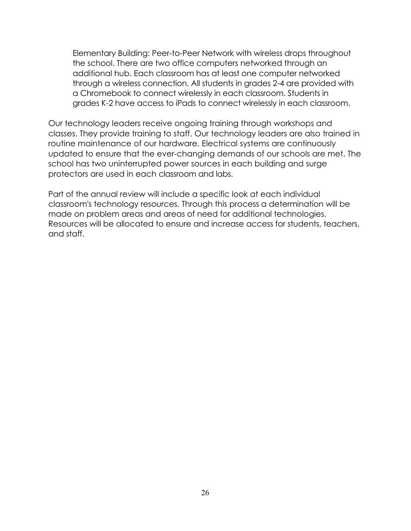Elementary Building: Peer-to-Peer Network with wireless drops throughout the school. There are two office computers networked through an additional hub. Each classroom has at least one computer networked through a wireless connection. All students in grades 2-4 are provided with a Chromebook to connect wirelessly in each classroom. Students in grades K-2 have access to iPads to connect wirelessly in each classroom.

Our technology leaders receive ongoing training through workshops and classes. They provide training to staff. Our technology leaders are also trained in routine maintenance of our hardware. Electrical systems are continuously updated to ensure that the ever-changing demands of our schools are met. The school has two uninterrupted power sources in each building and surge protectors are used in each classroom and labs.

Part of the annual review will include a specific look at each individual classroom's technology resources. Through this process a determination will be made on problem areas and areas of need for additional technologies. Resources will be allocated to ensure and increase access for students, teachers, and staff.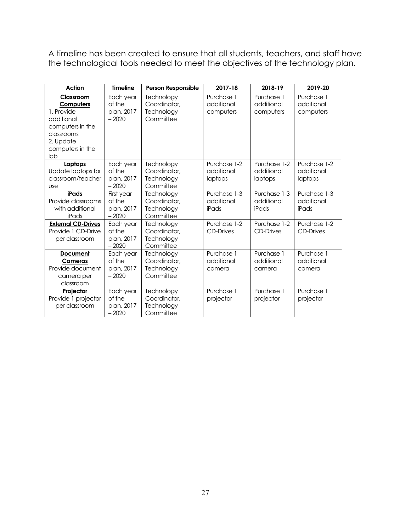A timeline has been created to ensure that all students, teachers, and staff have the technological tools needed to meet the objectives of the technology plan.

| Action                                                                                                                       | <b>Timeline</b>                               | <b>Person Responsible</b>                             | 2017-18                               | 2018-19                               | 2019-20                               |
|------------------------------------------------------------------------------------------------------------------------------|-----------------------------------------------|-------------------------------------------------------|---------------------------------------|---------------------------------------|---------------------------------------|
| Classroom<br>Computers<br>1. Provide<br>additional<br>computers in the<br>classrooms<br>2. Update<br>computers in the<br>lab | Each year<br>of the<br>plan, 2017<br>$-2020$  | Technology<br>Coordinator,<br>Technology<br>Committee | Purchase 1<br>additional<br>computers | Purchase 1<br>additional<br>computers | Purchase 1<br>additional<br>computers |
| Laptops<br>Update laptops for<br>classroom/teacher<br><b>use</b>                                                             | Each year<br>of the<br>plan, 2017<br>$-2020$  | Technology<br>Coordinator,<br>Technology<br>Committee | Purchase 1-2<br>additional<br>laptops | Purchase 1-2<br>additional<br>laptops | Purchase 1-2<br>additional<br>laptops |
| iPads<br>Provide classrooms<br>with additional<br>iPads                                                                      | First year<br>of the<br>plan, 2017<br>$-2020$ | Technology<br>Coordinator,<br>Technology<br>Committee | Purchase 1-3<br>additional<br>iPads   | Purchase 1-3<br>additional<br>iPads   | Purchase 1-3<br>additional<br>iPads   |
| <b>External CD-Drives</b><br>Provide 1 CD-Drive<br>per classroom                                                             | Each year<br>of the<br>plan, 2017<br>$-2020$  | Technology<br>Coordinator,<br>Technology<br>Committee | Purchase 1-2<br><b>CD-Drives</b>      | Purchase 1-2<br><b>CD-Drives</b>      | Purchase 1-2<br><b>CD-Drives</b>      |
| <b>Document</b><br>Cameras<br>Provide document<br>camera per<br>classroom                                                    | Each year<br>of the<br>plan, 2017<br>$-2020$  | Technology<br>Coordinator.<br>Technology<br>Committee | Purchase 1<br>additional<br>camera    | Purchase 1<br>additional<br>camera    | Purchase 1<br>additional<br>camera    |
| Projector<br>Provide 1 projector<br>per classroom                                                                            | Each year<br>of the<br>plan, 2017<br>$-2020$  | Technology<br>Coordinator,<br>Technology<br>Committee | Purchase 1<br>projector               | Purchase 1<br>projector               | Purchase 1<br>projector               |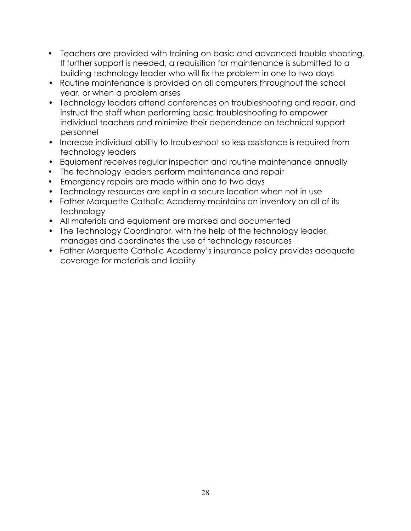- Teachers are provided with training on basic and advanced trouble shooting. If further support is needed, a requisition for maintenance is submitted to a building technology leader who will fix the problem in one to two days
- Routine maintenance is provided on all computers throughout the school year, or when a problem arises
- Technology leaders attend conferences on troubleshooting and repair, and instruct the staff when performing basic troubleshooting to empower individual teachers and minimize their dependence on technical support personnel
- Increase individual ability to troubleshoot so less assistance is required from technology leaders
- Equipment receives regular inspection and routine maintenance annually
- The technology leaders perform maintenance and repair
- Emergency repairs are made within one to two days
- Technology resources are kept in a secure location when not in use
- Father Marquette Catholic Academy maintains an inventory on all of its technology
- All materials and equipment are marked and documented
- The Technology Coordinator, with the help of the technology leader, manages and coordinates the use of technology resources
- Father Marquette Catholic Academy's insurance policy provides adequate coverage for materials and liability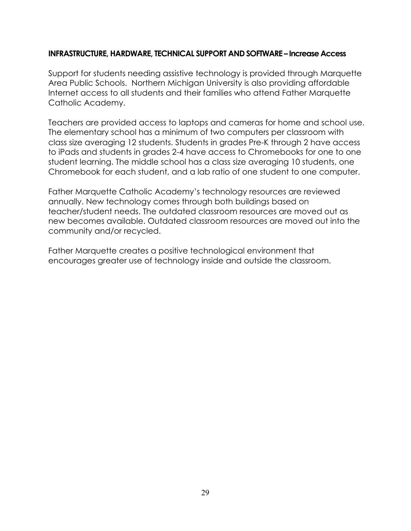#### **INFRASTRUCTURE, HARDWARE, TECHNICAL SUPPORT AND SOFTWARE – Increase Access**

Support for students needing assistive technology is provided through Marquette Area Public Schools. Northern Michigan University is also providing affordable Internet access to all students and their families who attend Father Marquette Catholic Academy.

Teachers are provided access to laptops and cameras for home and school use. The elementary school has a minimum of two computers per classroom with class size averaging 12 students. Students in grades Pre-K through 2 have access to iPads and students in grades 2-4 have access to Chromebooks for one to one student learning. The middle school has a class size averaging 10 students, one Chromebook for each student, and a lab ratio of one student to one computer.

Father Marquette Catholic Academy's technology resources are reviewed annually. New technology comes through both buildings based on teacher/student needs. The outdated classroom resources are moved out as new becomes available. Outdated classroom resources are moved out into the community and/or recycled.

Father Marquette creates a positive technological environment that encourages greater use of technology inside and outside the classroom.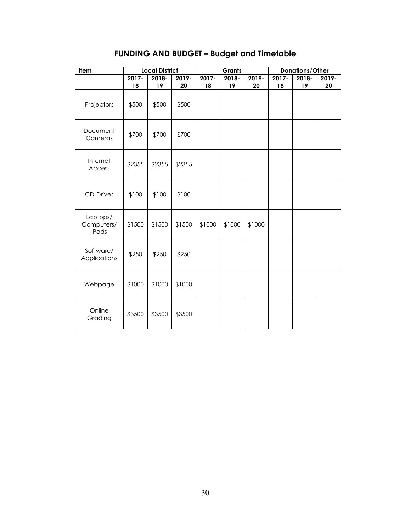|  |  |  |  |  | <b>FUNDING AND BUDGET – Budget and Timetable</b> |
|--|--|--|--|--|--------------------------------------------------|
|--|--|--|--|--|--------------------------------------------------|

| Item                            |        | <b>Local District</b> |        | <b>Grants</b> |        |        | Donations/Other |       |       |
|---------------------------------|--------|-----------------------|--------|---------------|--------|--------|-----------------|-------|-------|
|                                 | 2017-  | 2018-                 | 2019-  | 2017-         | 2018-  | 2019-  | 2017-           | 2018- | 2019- |
|                                 | 18     | 19                    | 20     | 18            | 19     | 20     | 18              | 19    | 20    |
| Projectors                      | \$500  | \$500                 | \$500  |               |        |        |                 |       |       |
| Document<br>Cameras             | \$700  | \$700                 | \$700  |               |        |        |                 |       |       |
| Internet<br>Access              | \$2355 | \$2355                | \$2355 |               |        |        |                 |       |       |
| <b>CD-Drives</b>                | \$100  | \$100                 | \$100  |               |        |        |                 |       |       |
| Laptops/<br>Computers/<br>iPads | \$1500 | \$1500                | \$1500 | \$1000        | \$1000 | \$1000 |                 |       |       |
| Software/<br>Applications       | \$250  | \$250                 | \$250  |               |        |        |                 |       |       |
| Webpage                         | \$1000 | \$1000                | \$1000 |               |        |        |                 |       |       |
| Online<br>Grading               | \$3500 | \$3500                | \$3500 |               |        |        |                 |       |       |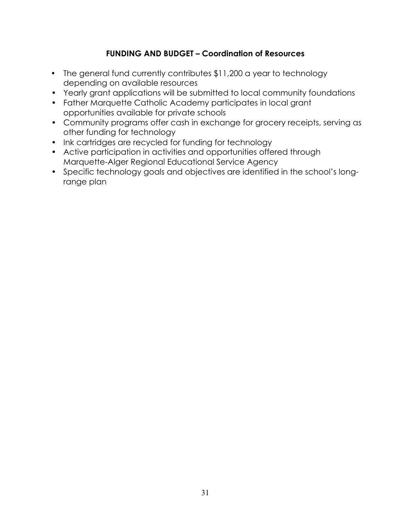# **FUNDING AND BUDGET – Coordination of Resources**

- The general fund currently contributes \$11,200 a year to technology depending on available resources
- Yearly grant applications will be submitted to local community foundations
- Father Marquette Catholic Academy participates in local grant opportunities available for private schools
- Community programs offer cash in exchange for grocery receipts, serving as other funding for technology
- Ink cartridges are recycled for funding for technology
- Active participation in activities and opportunities offered through Marquette-Alger Regional Educational Service Agency
- Specific technology goals and objectives are identified in the school's longrange plan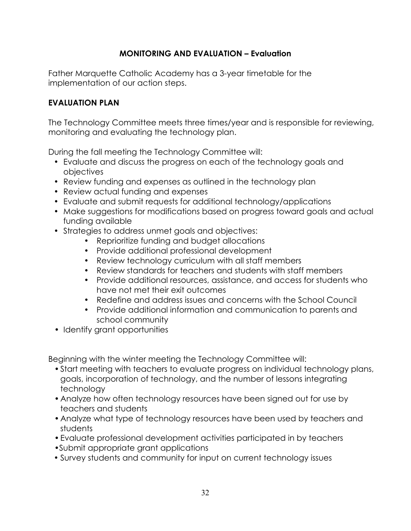# **MONITORING AND EVALUATION – Evaluation**

Father Marquette Catholic Academy has a 3-year timetable for the implementation of our action steps.

#### **EVALUATION PLAN**

The Technology Committee meets three times/year and is responsible for reviewing, monitoring and evaluating the technology plan.

During the fall meeting the Technology Committee will:

- Evaluate and discuss the progress on each of the technology goals and objectives
- Review funding and expenses as outlined in the technology plan
- Review actual funding and expenses
- Evaluate and submit requests for additional technology/applications
- Make suggestions for modifications based on progress toward goals and actual funding available
- Strategies to address unmet goals and objectives:
	- Reprioritize funding and budget allocations
	- Provide additional professional development
	- Review technology curriculum with all staff members
	- Review standards for teachers and students with staff members
	- Provide additional resources, assistance, and access for students who have not met their exit outcomes
	- Redefine and address issues and concerns with the School Council
	- Provide additional information and communication to parents and school community
- Identify grant opportunities

Beginning with the winter meeting the Technology Committee will:

- •Start meeting with teachers to evaluate progress on individual technology plans, goals, incorporation of technology, and the number of lessons integrating technology
- •Analyze how often technology resources have been signed out for use by teachers and students
- •Analyze what type of technology resources have been used by teachers and students
- •Evaluate professional development activities participated in by teachers
- •Submit appropriate grant applications
- Survey students and community for input on current technology issues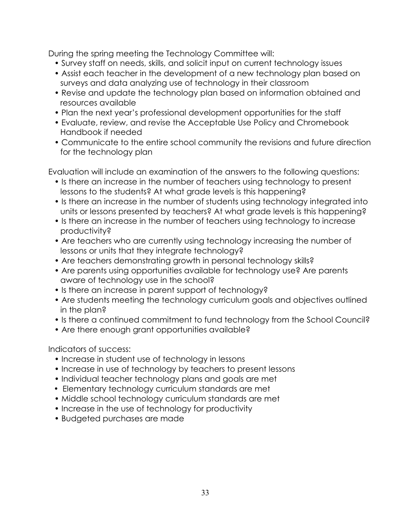During the spring meeting the Technology Committee will:

- Survey staff on needs, skills, and solicit input on current technology issues
- Assist each teacher in the development of a new technology plan based on surveys and data analyzing use of technology in their classroom
- Revise and update the technology plan based on information obtained and resources available
- Plan the next year's professional development opportunities for the staff
- Evaluate, review, and revise the Acceptable Use Policy and Chromebook Handbook if needed
- Communicate to the entire school community the revisions and future direction for the technology plan

Evaluation will include an examination of the answers to the following questions:

- Is there an increase in the number of teachers using technology to present lessons to the students? At what grade levels is this happening?
- Is there an increase in the number of students using technology integrated into units or lessons presented by teachers? At what grade levels is this happening?
- Is there an increase in the number of teachers using technology to increase productivity?
- Are teachers who are currently using technology increasing the number of lessons or units that they integrate technology?
- Are teachers demonstrating growth in personal technology skills?
- Are parents using opportunities available for technology use? Are parents aware of technology use in the school?
- Is there an increase in parent support of technology?
- Are students meeting the technology curriculum goals and objectives outlined in the plan?
- Is there a continued commitment to fund technology from the School Council?
- Are there enough grant opportunities available?

Indicators of success:

- Increase in student use of technology in lessons
- Increase in use of technology by teachers to present lessons
- Individual teacher technology plans and goals are met
- Elementary technology curriculum standards are met
- Middle school technology curriculum standards are met
- Increase in the use of technology for productivity
- Budgeted purchases are made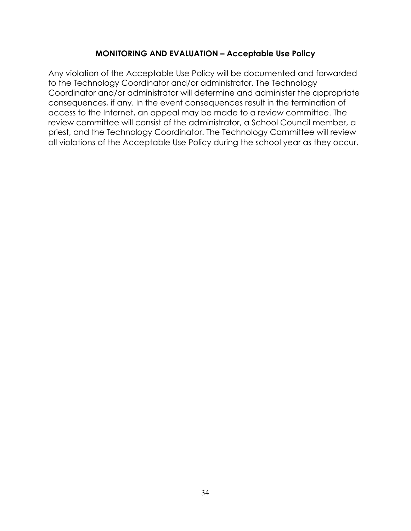#### **MONITORING AND EVALUATION – Acceptable Use Policy**

Any violation of the Acceptable Use Policy will be documented and forwarded to the Technology Coordinator and/or administrator. The Technology Coordinator and/or administrator will determine and administer the appropriate consequences, if any. In the event consequences result in the termination of access to the Internet, an appeal may be made to a review committee. The review committee will consist of the administrator, a School Council member, a priest, and the Technology Coordinator. The Technology Committee will review all violations of the Acceptable Use Policy during the school year as they occur.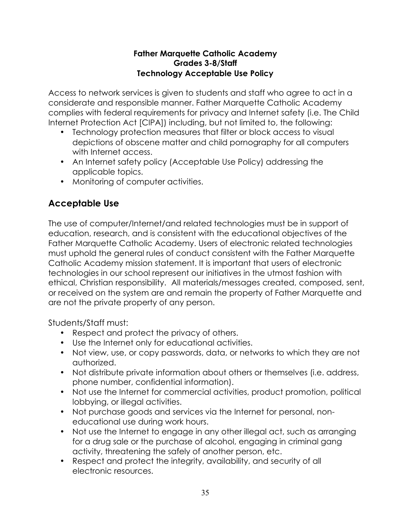#### **Father Marquette Catholic Academy Grades 3-8/Staff Technology Acceptable Use Policy**

Access to network services is given to students and staff who agree to act in a considerate and responsible manner. Father Marquette Catholic Academy complies with federal requirements for privacy and Internet safety (i.e. The Child Internet Protection Act [CIPA]) including, but not limited to, the following:

- Technology protection measures that filter or block access to visual depictions of obscene matter and child pornography for all computers with Internet access.
- An Internet safety policy (Acceptable Use Policy) addressing the applicable topics.
- Monitoring of computer activities.

# **Acceptable Use**

The use of computer/Internet/and related technologies must be in support of education, research, and is consistent with the educational objectives of the Father Marquette Catholic Academy. Users of electronic related technologies must uphold the general rules of conduct consistent with the Father Marquette Catholic Academy mission statement. It is important that users of electronic technologies in our school represent our initiatives in the utmost fashion with ethical, Christian responsibility. All materials/messages created, composed, sent, or received on the system are and remain the property of Father Marquette and are not the private property of any person.

Students/Staff must:

- Respect and protect the privacy of others.
- Use the Internet only for educational activities.
- Not view, use, or copy passwords, data, or networks to which they are not authorized.
- Not distribute private information about others or themselves (i.e. address, phone number, confidential information).
- Not use the Internet for commercial activities, product promotion, political lobbying, or illegal activities.
- Not purchase goods and services via the Internet for personal, noneducational use during work hours.
- Not use the Internet to engage in any other illegal act, such as arranging for a drug sale or the purchase of alcohol, engaging in criminal gang activity, threatening the safely of another person, etc.
- Respect and protect the integrity, availability, and security of all electronic resources.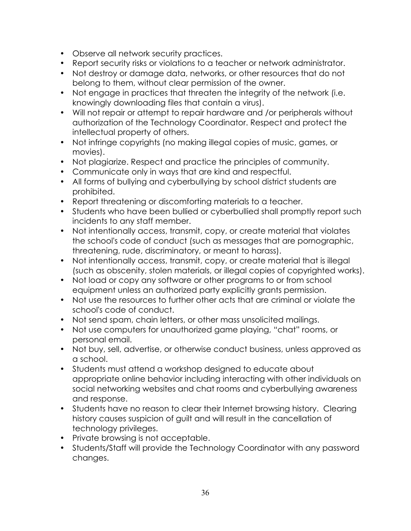- Observe all network security practices.
- Report security risks or violations to a teacher or network administrator.
- Not destroy or damage data, networks, or other resources that do not belong to them, without clear permission of the owner.
- Not engage in practices that threaten the integrity of the network (i.e. knowingly downloading files that contain a virus).
- Will not repair or attempt to repair hardware and /or peripherals without authorization of the Technology Coordinator. Respect and protect the intellectual property of others.
- Not infringe copyrights (no making illegal copies of music, games, or movies).
- Not plagiarize. Respect and practice the principles of community.
- Communicate only in ways that are kind and respectful.
- All forms of bullying and cyberbullying by school district students are prohibited.
- Report threatening or discomforting materials to a teacher.
- Students who have been bullied or cyberbullied shall promptly report such incidents to any staff member.
- Not intentionally access, transmit, copy, or create material that violates the school's code of conduct (such as messages that are pornographic, threatening, rude, discriminatory, or meant to harass).
- Not intentionally access, transmit, copy, or create material that is illegal (such as obscenity, stolen materials, or illegal copies of copyrighted works).
- Not load or copy any software or other programs to or from school equipment unless an authorized party explicitly grants permission.
- Not use the resources to further other acts that are criminal or violate the school's code of conduct.
- Not send spam, chain letters, or other mass unsolicited mailings.
- Not use computers for unauthorized game playing, "chat" rooms, or personal email.
- Not buy, sell, advertise, or otherwise conduct business, unless approved as a school.
- Students must attend a workshop designed to educate about appropriate online behavior including interacting with other individuals on social networking websites and chat rooms and cyberbullying awareness and response.
- Students have no reason to clear their Internet browsing history. Clearing history causes suspicion of guilt and will result in the cancellation of technology privileges.
- Private browsing is not acceptable.
- Students/Staff will provide the Technology Coordinator with any password changes.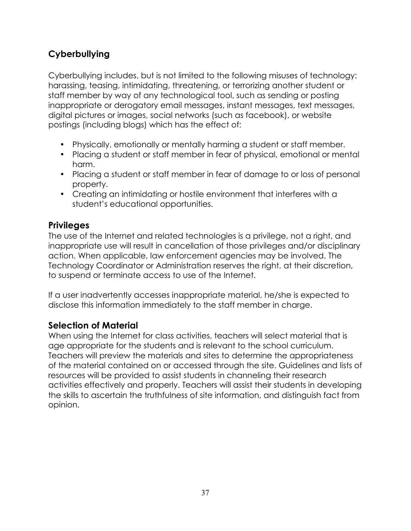# **Cyberbullying**

Cyberbullying includes, but is not limited to the following misuses of technology: harassing, teasing, intimidating, threatening, or terrorizing another student or staff member by way of any technological tool, such as sending or posting inappropriate or derogatory email messages, instant messages, text messages, digital pictures or images, social networks (such as facebook), or website postings (including blogs) which has the effect of:

- Physically, emotionally or mentally harming a student or staff member.
- Placing a student or staff member in fear of physical, emotional or mental harm.
- Placing a student or staff member in fear of damage to or loss of personal property.
- Creating an intimidating or hostile environment that interferes with a student's educational opportunities.

# **Privileges**

The use of the Internet and related technologies is a privilege, not a right, and inappropriate use will result in cancellation of those privileges and/or disciplinary action. When applicable, law enforcement agencies may be involved. The Technology Coordinator or Administration reserves the right, at their discretion, to suspend or terminate access to use of the Internet.

If a user inadvertently accesses inappropriate material, he/she is expected to disclose this information immediately to the staff member in charge.

# **Selection of Material**

When using the Internet for class activities, teachers will select material that is age appropriate for the students and is relevant to the school curriculum. Teachers will preview the materials and sites to determine the appropriateness of the material contained on or accessed through the site. Guidelines and lists of resources will be provided to assist students in channeling their research activities effectively and properly. Teachers will assist their students in developing the skills to ascertain the truthfulness of site information, and distinguish fact from opinion.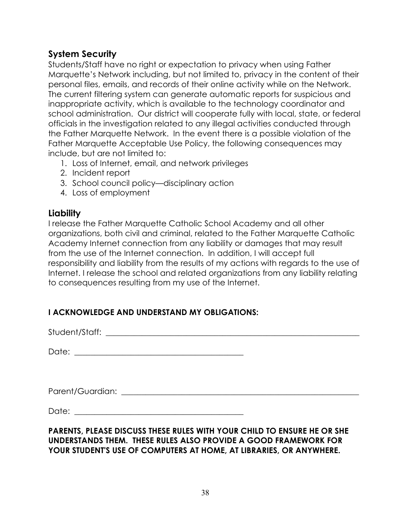# **System Security**

Students/Staff have no right or expectation to privacy when using Father Marquette's Network including, but not limited to, privacy in the content of their personal files, emails, and records of their online activity while on the Network. The current filtering system can generate automatic reports for suspicious and inappropriate activity, which is available to the technology coordinator and school administration. Our district will cooperate fully with local, state, or federal officials in the investigation related to any illegal activities conducted through the Father Marquette Network. In the event there is a possible violation of the Father Marquette Acceptable Use Policy, the following consequences may include, but are not limited to:

- 1. Loss of Internet, email, and network privileges
- 2. Incident report
- 3. School council policy—disciplinary action
- 4. Loss of employment

# **Liability**

I release the Father Marquette Catholic School Academy and all other organizations, both civil and criminal, related to the Father Marquette Catholic Academy Internet connection from any liability or damages that may result from the use of the Internet connection. In addition, I will accept full responsibility and liability from the results of my actions with regards to the use of Internet. I release the school and related organizations from any liability relating to consequences resulting from my use of the Internet.

# **I ACKNOWLEDGE AND UNDERSTAND MY OBLIGATIONS:**

Student/Staff: with the state of the state of the state of the state of the state of the state of the state of the state of the state of the state of the state of the state of the state of the state of the state of the sta

Date: \_\_\_\_\_\_\_\_\_\_\_\_\_\_\_\_\_\_\_\_\_\_\_\_\_\_\_\_\_\_\_\_\_\_\_\_\_\_\_\_\_\_

Parent/Guardian: \_\_\_\_\_\_\_\_\_\_\_\_\_\_\_\_\_\_\_\_\_\_\_\_\_\_\_\_\_\_\_\_\_\_\_\_\_\_\_\_\_\_\_\_\_\_\_\_\_\_\_\_\_\_\_\_\_\_\_

Date: \_\_\_\_\_\_\_\_\_\_\_\_\_\_\_\_\_\_\_\_\_\_\_\_\_\_\_\_\_\_\_\_\_\_\_\_\_\_\_\_\_\_

#### **PARENTS, PLEASE DISCUSS THESE RULES WITH YOUR CHILD TO ENSURE HE OR SHE UNDERSTANDS THEM. THESE RULES ALSO PROVIDE A GOOD FRAMEWORK FOR YOUR STUDENT'S USE OF COMPUTERS AT HOME, AT LIBRARIES, OR ANYWHERE.**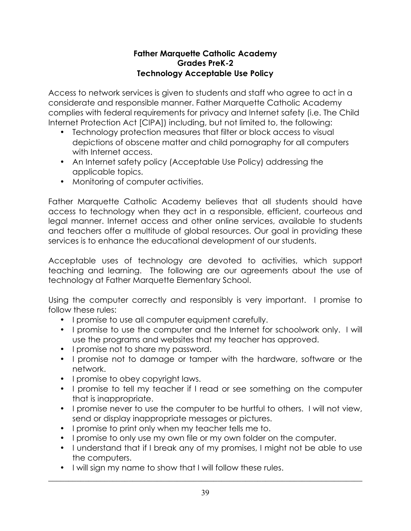#### **Father Marquette Catholic Academy Grades PreK-2 Technology Acceptable Use Policy**

Access to network services is given to students and staff who agree to act in a considerate and responsible manner. Father Marquette Catholic Academy complies with federal requirements for privacy and Internet safety (i.e. The Child Internet Protection Act [CIPA]) including, but not limited to, the following:

- Technology protection measures that filter or block access to visual depictions of obscene matter and child pornography for all computers with Internet access.
- An Internet safety policy (Acceptable Use Policy) addressing the applicable topics.
- Monitoring of computer activities.

Father Marquette Catholic Academy believes that all students should have access to technology when they act in a responsible, efficient, courteous and legal manner. Internet access and other online services, available to students and teachers offer a multitude of global resources. Our goal in providing these services is to enhance the educational development of our students.

Acceptable uses of technology are devoted to activities, which support teaching and learning. The following are our agreements about the use of technology at Father Marquette Elementary School.

Using the computer correctly and responsibly is very important. I promise to follow these rules:

- I promise to use all computer equipment carefully.
- I promise to use the computer and the Internet for schoolwork only. I will use the programs and websites that my teacher has approved.
- I promise not to share my password.
- I promise not to damage or tamper with the hardware, software or the network.
- I promise to obey copyright laws.
- I promise to tell my teacher if I read or see something on the computer that is inappropriate.
- I promise never to use the computer to be hurtful to others. I will not view, send or display inappropriate messages or pictures.
- I promise to print only when my teacher tells me to.
- I promise to only use my own file or my own folder on the computer.
- I understand that if I break any of my promises, I might not be able to use the computers.
- I will sign my name to show that I will follow these rules.

\_\_\_\_\_\_\_\_\_\_\_\_\_\_\_\_\_\_\_\_\_\_\_\_\_\_\_\_\_\_\_\_\_\_\_\_\_\_\_\_\_\_\_\_\_\_\_\_\_\_\_\_\_\_\_\_\_\_\_\_\_\_\_\_\_\_\_\_\_\_\_\_\_\_\_\_\_\_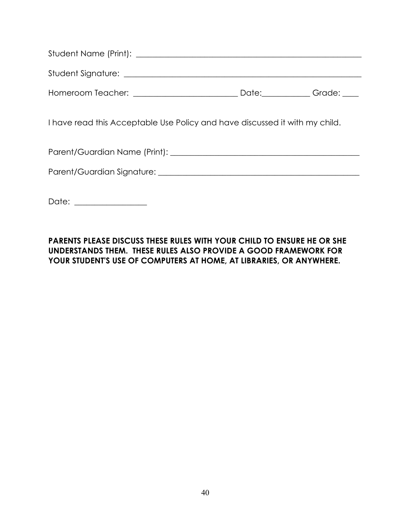| I have read this Acceptable Use Policy and have discussed it with my child. |  |  |
|-----------------------------------------------------------------------------|--|--|
|                                                                             |  |  |
|                                                                             |  |  |
| Date: ________________                                                      |  |  |

#### **PARENTS PLEASE DISCUSS THESE RULES WITH YOUR CHILD TO ENSURE HE OR SHE UNDERSTANDS THEM. THESE RULES ALSO PROVIDE A GOOD FRAMEWORK FOR YOUR STUDENT'S USE OF COMPUTERS AT HOME, AT LIBRARIES, OR ANYWHERE.**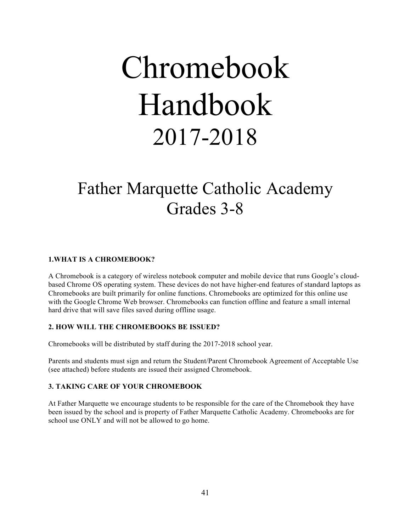# Chromebook Handbook 2017-2018

# Father Marquette Catholic Academy Grades 3-8

#### **1.WHAT IS A CHROMEBOOK?**

A Chromebook is a category of wireless notebook computer and mobile device that runs Google's cloudbased Chrome OS operating system. These devices do not have higher-end features of standard laptops as Chromebooks are built primarily for online functions. Chromebooks are optimized for this online use with the Google Chrome Web browser. Chromebooks can function offline and feature a small internal hard drive that will save files saved during offline usage.

#### **2. HOW WILL THE CHROMEBOOKS BE ISSUED?**

Chromebooks will be distributed by staff during the 2017-2018 school year.

Parents and students must sign and return the Student/Parent Chromebook Agreement of Acceptable Use (see attached) before students are issued their assigned Chromebook.

#### **3. TAKING CARE OF YOUR CHROMEBOOK**

At Father Marquette we encourage students to be responsible for the care of the Chromebook they have been issued by the school and is property of Father Marquette Catholic Academy. Chromebooks are for school use ONLY and will not be allowed to go home.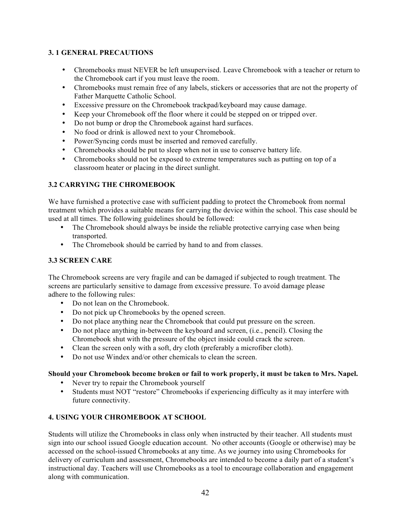#### **3. 1 GENERAL PRECAUTIONS**

- Chromebooks must NEVER be left unsupervised. Leave Chromebook with a teacher or return to the Chromebook cart if you must leave the room.
- Chromebooks must remain free of any labels, stickers or accessories that are not the property of Father Marquette Catholic School.
- Excessive pressure on the Chromebook trackpad/keyboard may cause damage.
- Keep your Chromebook off the floor where it could be stepped on or tripped over.
- Do not bump or drop the Chromebook against hard surfaces.
- No food or drink is allowed next to your Chromebook.
- Power/Syncing cords must be inserted and removed carefully.
- Chromebooks should be put to sleep when not in use to conserve battery life.
- Chromebooks should not be exposed to extreme temperatures such as putting on top of a classroom heater or placing in the direct sunlight.

#### **3.2 CARRYING THE CHROMEBOOK**

We have furnished a protective case with sufficient padding to protect the Chromebook from normal treatment which provides a suitable means for carrying the device within the school. This case should be used at all times. The following guidelines should be followed:

- The Chromebook should always be inside the reliable protective carrying case when being transported.
- The Chromebook should be carried by hand to and from classes.

#### **3.3 SCREEN CARE**

The Chromebook screens are very fragile and can be damaged if subjected to rough treatment. The screens are particularly sensitive to damage from excessive pressure. To avoid damage please adhere to the following rules:

- Do not lean on the Chromebook.
- Do not pick up Chromebooks by the opened screen.
- Do not place anything near the Chromebook that could put pressure on the screen.
- Do not place anything in-between the keyboard and screen, (i.e., pencil). Closing the Chromebook shut with the pressure of the object inside could crack the screen.
- Clean the screen only with a soft, dry cloth (preferably a microfiber cloth).
- Do not use Windex and/or other chemicals to clean the screen.

#### **Should your Chromebook become broken or fail to work properly, it must be taken to Mrs. Napel.**

- Never try to repair the Chromebook yourself
- Students must NOT "restore" Chromebooks if experiencing difficulty as it may interfere with future connectivity.

#### **4. USING YOUR CHROMEBOOK AT SCHOOL**

Students will utilize the Chromebooks in class only when instructed by their teacher. All students must sign into our school issued Google education account. No other accounts (Google or otherwise) may be accessed on the school-issued Chromebooks at any time. As we journey into using Chromebooks for delivery of curriculum and assessment, Chromebooks are intended to become a daily part of a student's instructional day. Teachers will use Chromebooks as a tool to encourage collaboration and engagement along with communication.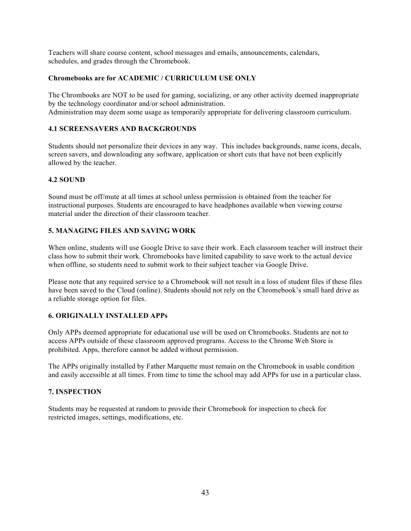Teachers will share course content, school messages and emails, announcements, calendars, schedules, and grades through the Chromebook.

#### **Chromebooks are for ACADEMIC / CURRICULUM USE ONLY**

The Chrombooks are NOT to be used for gaming, socializing, or any other activity deemed inappropriate by the technology coordinator and/or school administration. Administration may deem some usage as temporarily appropriate for delivering classroom curriculum.

#### **4.1 SCREENSAVERS AND BACKGROUNDS**

Students should not personalize their devices in any way. This includes backgrounds, name icons, decals, screen savers, and downloading any software, application or short cuts that have not been explicitly allowed by the teacher.

#### **4.2 SOUND**

Sound must be off/mute at all times at school unless permission is obtained from the teacher for instructional purposes. Students are encouraged to have headphones available when viewing course material under the direction of their classroom teacher.

#### **5. MANAGING FILES AND SAVING WORK**

When online, students will use Google Drive to save their work. Each classroom teacher will instruct their class how to submit their work. Chromebooks have limited capability to save work to the actual device when offline, so students need to submit work to their subject teacher via Google Drive.

Please note that any required service to a Chromebook will not result in a loss of student files if these files have been saved to the Cloud (online). Students should not rely on the Chromebook's small hard drive as a reliable storage option for files.

#### **6. ORIGINALLY INSTALLED APPs**

Only APPs deemed appropriate for educational use will be used on Chromebooks. Students are not to access APPs outside of these classroom approved programs. Access to the Chrome Web Store is prohibited. Apps, therefore cannot be added without permission.

The APPs originally installed by Father Marquette must remain on the Chromebook in usable condition and easily accessible at all times. From time to time the school may add APPs for use in a particular class.

#### **7. INSPECTION**

Students may be requested at random to provide their Chromebook for inspection to check for restricted images, settings, modifications, etc.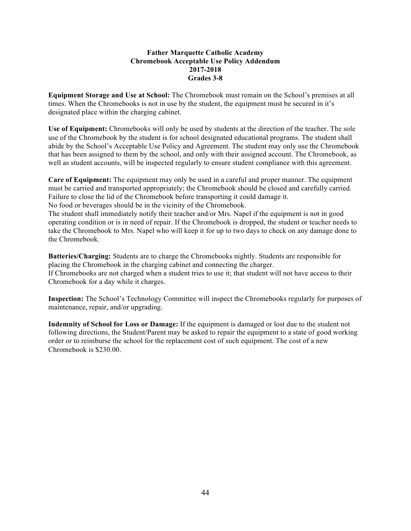#### **Father Marquette Catholic Academy Chromebook Acceptable Use Policy Addendum 2017-2018 Grades 3-8**

**Equipment Storage and Use at School:** The Chromebook must remain on the School's premises at all times. When the Chromebooks is not in use by the student, the equipment must be secured in it's designated place within the charging cabinet.

**Use of Equipment:** Chromebooks will only be used by students at the direction of the teacher. The sole use of the Chromebook by the student is for school designated educational programs. The student shall abide by the School's Acceptable Use Policy and Agreement. The student may only use the Chromebook that has been assigned to them by the school, and only with their assigned account. The Chromebook, as well as student accounts, will be inspected regularly to ensure student compliance with this agreement.

**Care of Equipment:** The equipment may only be used in a careful and proper manner. The equipment must be carried and transported appropriately; the Chromebook should be closed and carefully carried. Failure to close the lid of the Chromebook before transporting it could damage it. No food or beverages should be in the vicinity of the Chromebook.

The student shall immediately notify their teacher and/or Mrs. Napel if the equipment is not in good operating condition or is in need of repair. If the Chromebook is dropped, the student or teacher needs to take the Chromebook to Mrs. Napel who will keep it for up to two days to check on any damage done to the Chromebook.

**Batteries/Charging:** Students are to charge the Chromebooks nightly. Students are responsible for placing the Chromebook in the charging cabinet and connecting the charger. If Chromebooks are not charged when a student tries to use it; that student will not have access to their Chromebook for a day while it charges.

**Inspection:** The School's Technology Committee will inspect the Chromebooks regularly for purposes of maintenance, repair, and/or upgrading.

**Indemnity of School for Loss or Damage:** If the equipment is damaged or lost due to the student not following directions, the Student/Parent may be asked to repair the equipment to a state of good working order or to reimburse the school for the replacement cost of such equipment. The cost of a new Chromebook is \$230.00.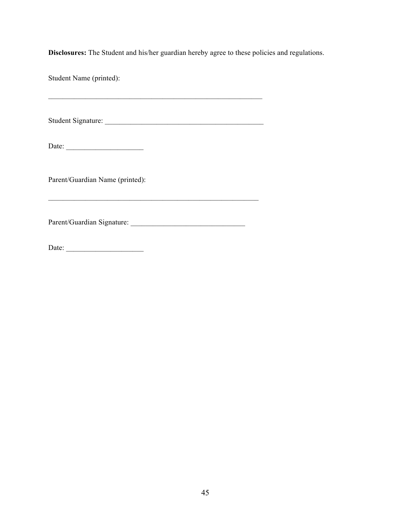**Disclosures:** The Student and his/her guardian hereby agree to these policies and regulations.

Student Name (printed):

Student Signature: \_\_\_\_\_\_\_\_\_\_\_\_\_\_\_\_\_\_\_\_\_\_\_\_\_\_\_\_\_\_\_\_\_\_\_\_\_\_\_\_\_\_\_

 $\mathcal{L}_\text{max} = \mathcal{L}_\text{max} = \mathcal{L}_\text{max} = \mathcal{L}_\text{max} = \mathcal{L}_\text{max} = \mathcal{L}_\text{max} = \mathcal{L}_\text{max} = \mathcal{L}_\text{max} = \mathcal{L}_\text{max} = \mathcal{L}_\text{max} = \mathcal{L}_\text{max} = \mathcal{L}_\text{max} = \mathcal{L}_\text{max} = \mathcal{L}_\text{max} = \mathcal{L}_\text{max} = \mathcal{L}_\text{max} = \mathcal{L}_\text{max} = \mathcal{L}_\text{max} = \mathcal{$ 

Date: \_\_\_\_\_\_\_\_\_\_\_\_\_\_\_\_\_\_\_\_\_

Parent/Guardian Name (printed):

Parent/Guardian Signature: \_\_\_\_\_\_\_\_\_\_\_\_\_\_\_\_\_\_\_\_\_\_\_\_\_\_\_\_\_\_\_

 $\mathcal{L}_\text{max} = \mathcal{L}_\text{max} = \mathcal{L}_\text{max} = \mathcal{L}_\text{max} = \mathcal{L}_\text{max} = \mathcal{L}_\text{max} = \mathcal{L}_\text{max} = \mathcal{L}_\text{max} = \mathcal{L}_\text{max} = \mathcal{L}_\text{max} = \mathcal{L}_\text{max} = \mathcal{L}_\text{max} = \mathcal{L}_\text{max} = \mathcal{L}_\text{max} = \mathcal{L}_\text{max} = \mathcal{L}_\text{max} = \mathcal{L}_\text{max} = \mathcal{L}_\text{max} = \mathcal{$ 

Date: \_\_\_\_\_\_\_\_\_\_\_\_\_\_\_\_\_\_\_\_\_